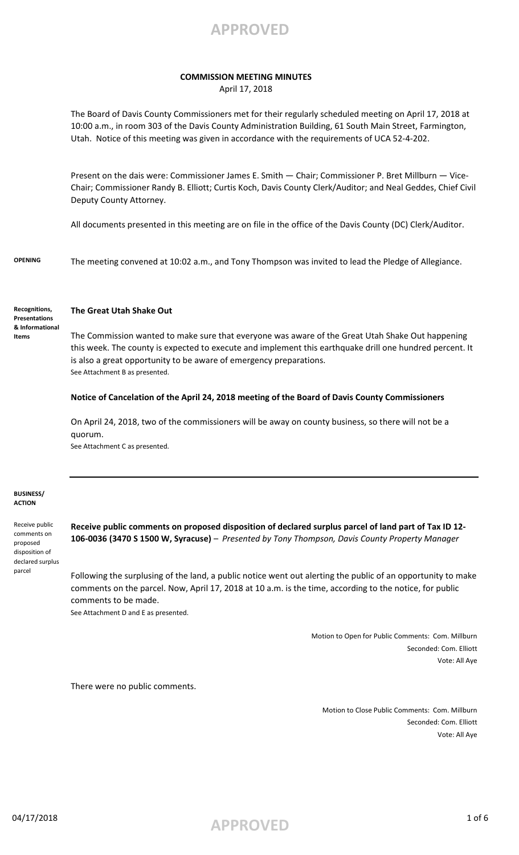

### **COMMISSION MEETING MINUTES**

April 17, 2018

The Board of Davis County Commissioners met for their regularly scheduled meeting on April 17, 2018 at 10:00 a.m., in room 303 of the Davis County Administration Building, 61 South Main Street, Farmington, Utah. Notice of this meeting was given in accordance with the requirements of UCA 52-4-202.

Present on the dais were: Commissioner James E. Smith — Chair; Commissioner P. Bret Millburn — Vice-Chair; Commissioner Randy B. Elliott; Curtis Koch, Davis County Clerk/Auditor; and Neal Geddes, Chief Civil Deputy County Attorney.

All documents presented in this meeting are on file in the office of the Davis County (DC) Clerk/Auditor.

**OPENING** The meeting convened at 10:02 a.m., and Tony Thompson was invited to lead the Pledge of Allegiance.

**Recognitions, Presentations & Informational Items**

### **The Great Utah Shake Out**

The Commission wanted to make sure that everyone was aware of the Great Utah Shake Out happening this week. The county is expected to execute and implement this earthquake drill one hundred percent. It is also a great opportunity to be aware of emergency preparations. See Attachment B as presented.

### **Notice of Cancelation of the April 24, 2018 meeting of the Board of Davis County Commissioners**

On April 24, 2018, two of the commissioners will be away on county business, so there will not be a quorum.

See Attachment C as presented.

#### **BUSINESS/ ACTION**

Receive public comments on proposed disposition of declared surplus parcel

**Receive public comments on proposed disposition of declared surplus parcel of land part of Tax ID 12- 106-0036 (3470 S 1500 W, Syracuse)** – *Presented by Tony Thompson, Davis County Property Manager*

Following the surplusing of the land, a public notice went out alerting the public of an opportunity to make comments on the parcel. Now, April 17, 2018 at 10 a.m. is the time, according to the notice, for public comments to be made.

See Attachment D and E as presented.

Motion to Open for Public Comments: Com. Millburn Seconded: Com. Elliott Vote: All Aye

There were no public comments.

Motion to Close Public Comments: Com. Millburn Seconded: Com. Elliott Vote: All Aye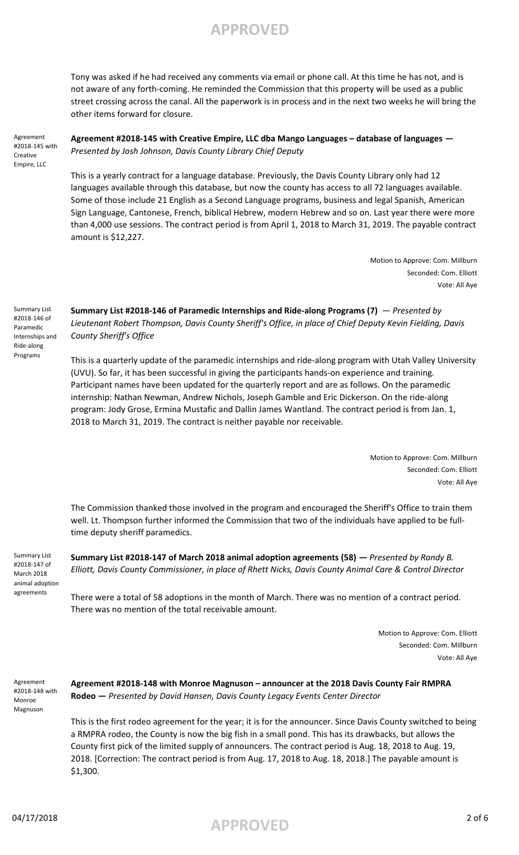Tony was asked if he had received any comments via email or phone call. At this time he has not, and is not aware of any forth-coming. He reminded the Commission that this property will be used as a public street crossing across the canal. All the paperwork is in process and in the next two weeks he will bring the other items forward for closure.

Agreement #2018-145 with Creative Empire, LLC

**Agreement #2018-145 with Creative Empire, LLC dba Mango Languages – database of languages —**  *Presented by Josh Johnson, Davis County Library Chief Deputy*

This is a yearly contract for a language database. Previously, the Davis County Library only had 12 languages available through this database, but now the county has access to all 72 languages available. Some of those include 21 English as a Second Language programs, business and legal Spanish, American Sign Language, Cantonese, French, biblical Hebrew, modern Hebrew and so on. Last year there were more than 4,000 use sessions. The contract period is from April 1, 2018 to March 31, 2019. The payable contract amount is \$12,227.

> Motion to Approve: Com. Millburn Seconded: Com. Elliott Vote: All Aye

Summary List #2018-146 of Paramedic Internships and Ride-along Programs

**Summary List #2018-146 of Paramedic Internships and Ride-along Programs (7)** — *Presented by Lieutenant Robert Thompson, Davis County Sheriff's Office, in place of Chief Deputy Kevin Fielding, Davis County Sheriff's Office*

This is a quarterly update of the paramedic internships and ride-along program with Utah Valley University (UVU). So far, it has been successful in giving the participants hands-on experience and training. Participant names have been updated for the quarterly report and are as follows. On the paramedic internship: Nathan Newman, Andrew Nichols, Joseph Gamble and Eric Dickerson. On the ride-along program: Jody Grose, Ermina Mustafic and Dallin James Wantland. The contract period is from Jan. 1, 2018 to March 31, 2019. The contract is neither payable nor receivable.

> Motion to Approve: Com. Millburn Seconded: Com. Elliott Vote: All Aye

The Commission thanked those involved in the program and encouraged the Sheriff's Office to train them well. Lt. Thompson further informed the Commission that two of the individuals have applied to be fulltime deputy sheriff paramedics.

Summary List #2018-147 of March 2018 animal adoption agreements

**Summary List #2018-147 of March 2018 animal adoption agreements (58) —** *Presented by Randy B. Elliott, Davis County Commissioner, in place of Rhett Nicks, Davis County Animal Care & Control Director*

There were a total of 58 adoptions in the month of March. There was no mention of a contract period. There was no mention of the total receivable amount.

> Motion to Approve: Com. Elliott Seconded: Com. Millburn Vote: All Aye

Agreement #2018-148 with Monroe Magnuson

**Agreement #2018-148 with Monroe Magnuson – announcer at the 2018 Davis County Fair RMPRA Rodeo —** *Presented by David Hansen, Davis County Legacy Events Center Director*

This is the first rodeo agreement for the year; it is for the announcer. Since Davis County switched to being a RMPRA rodeo, the County is now the big fish in a small pond. This has its drawbacks, but allows the County first pick of the limited supply of announcers. The contract period is Aug. 18, 2018 to Aug. 19, 2018. [Correction: The contract period is from Aug. 17, 2018 to Aug. 18, 2018.] The payable amount is \$1,300.

04/17/2018 **APPROVED** 2 of 6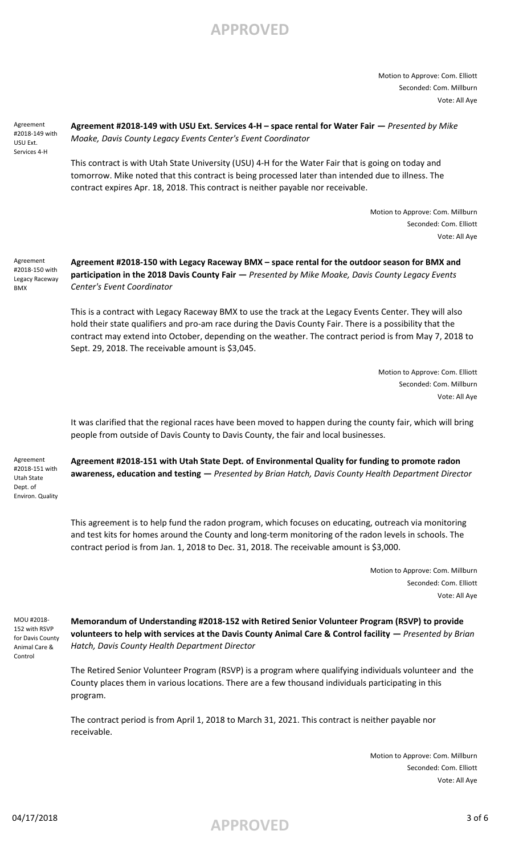Motion to Approve: Com. Elliott Seconded: Com. Millburn Vote: All Aye

Agreement #2018-149 with USU Ext. Services 4-H

**Agreement #2018-149 with USU Ext. Services 4-H – space rental for Water Fair —** *Presented by Mike Moake, Davis County Legacy Events Center's Event Coordinator*

This contract is with Utah State University (USU) 4-H for the Water Fair that is going on today and tomorrow. Mike noted that this contract is being processed later than intended due to illness. The contract expires Apr. 18, 2018. This contract is neither payable nor receivable.

> Motion to Approve: Com. Millburn Seconded: Com. Elliott Vote: All Aye

Agreement #2018-150 with Legacy Raceway BMX

**Agreement #2018-150 with Legacy Raceway BMX – space rental for the outdoor season for BMX and participation in the 2018 Davis County Fair —** *Presented by Mike Moake, Davis County Legacy Events Center's Event Coordinator*

This is a contract with Legacy Raceway BMX to use the track at the Legacy Events Center. They will also hold their state qualifiers and pro-am race during the Davis County Fair. There is a possibility that the contract may extend into October, depending on the weather. The contract period is from May 7, 2018 to Sept. 29, 2018. The receivable amount is \$3,045.

> Motion to Approve: Com. Elliott Seconded: Com. Millburn Vote: All Aye

It was clarified that the regional races have been moved to happen during the county fair, which will bring people from outside of Davis County to Davis County, the fair and local businesses.

Agreement #2018-151 with Utah State Dept. of Environ. Quality **Agreement #2018-151 with Utah State Dept. of Environmental Quality for funding to promote radon awareness, education and testing —** *Presented by Brian Hatch, Davis County Health Department Director*

This agreement is to help fund the radon program, which focuses on educating, outreach via monitoring and test kits for homes around the County and long-term monitoring of the radon levels in schools. The contract period is from Jan. 1, 2018 to Dec. 31, 2018. The receivable amount is \$3,000.

> Motion to Approve: Com. Millburn Seconded: Com. Elliott Vote: All Aye

MOU #2018- 152 with RSVP for Davis County Animal Care & Control

**Memorandum of Understanding #2018-152 with Retired Senior Volunteer Program (RSVP) to provide volunteers to help with services at the Davis County Animal Care & Control facility —** *Presented by Brian Hatch, Davis County Health Department Director*

The Retired Senior Volunteer Program (RSVP) is a program where qualifying individuals volunteer and the County places them in various locations. There are a few thousand individuals participating in this program.

The contract period is from April 1, 2018 to March 31, 2021. This contract is neither payable nor receivable.

> Motion to Approve: Com. Millburn Seconded: Com. Elliott Vote: All Aye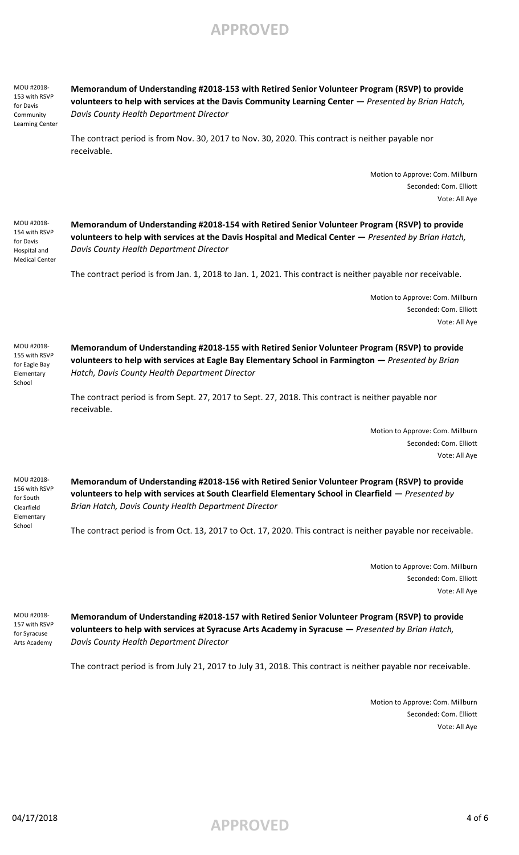**Memorandum of Understanding #2018-153 with Retired Senior Volunteer Program (RSVP) to provide volunteers to help with services at the Davis Community Learning Center —** *Presented by Brian Hatch, Davis County Health Department Director*

The contract period is from Nov. 30, 2017 to Nov. 30, 2020. This contract is neither payable nor receivable.

> Motion to Approve: Com. Millburn Seconded: Com. Elliott Vote: All Aye

MOU #2018- 154 with RSVP for Davis Hospital and Medical Center

MOU #2018- 153 with RSVP for Davis Community Learning Center

> **Memorandum of Understanding #2018-154 with Retired Senior Volunteer Program (RSVP) to provide volunteers to help with services at the Davis Hospital and Medical Center —** *Presented by Brian Hatch, Davis County Health Department Director*

The contract period is from Jan. 1, 2018 to Jan. 1, 2021. This contract is neither payable nor receivable.

Motion to Approve: Com. Millburn Seconded: Com. Elliott Vote: All Aye

MOU #2018- 155 with RSVP for Eagle Bay Elementary School

**Memorandum of Understanding #2018-155 with Retired Senior Volunteer Program (RSVP) to provide volunteers to help with services at Eagle Bay Elementary School in Farmington —** *Presented by Brian Hatch, Davis County Health Department Director*

The contract period is from Sept. 27, 2017 to Sept. 27, 2018. This contract is neither payable nor receivable.

> Motion to Approve: Com. Millburn Seconded: Com. Elliott Vote: All Aye

MOU #2018- 156 with RSVP for South Clearfield Elementary School

**Memorandum of Understanding #2018-156 with Retired Senior Volunteer Program (RSVP) to provide volunteers to help with services at South Clearfield Elementary School in Clearfield —** *Presented by Brian Hatch, Davis County Health Department Director*

The contract period is from Oct. 13, 2017 to Oct. 17, 2020. This contract is neither payable nor receivable.

Motion to Approve: Com. Millburn Seconded: Com. Elliott Vote: All Aye

MOU #2018- 157 with RSVP for Syracuse Arts Academy

**Memorandum of Understanding #2018-157 with Retired Senior Volunteer Program (RSVP) to provide volunteers to help with services at Syracuse Arts Academy in Syracuse —** *Presented by Brian Hatch, Davis County Health Department Director*

The contract period is from July 21, 2017 to July 31, 2018. This contract is neither payable nor receivable.

Motion to Approve: Com. Millburn Seconded: Com. Elliott Vote: All Aye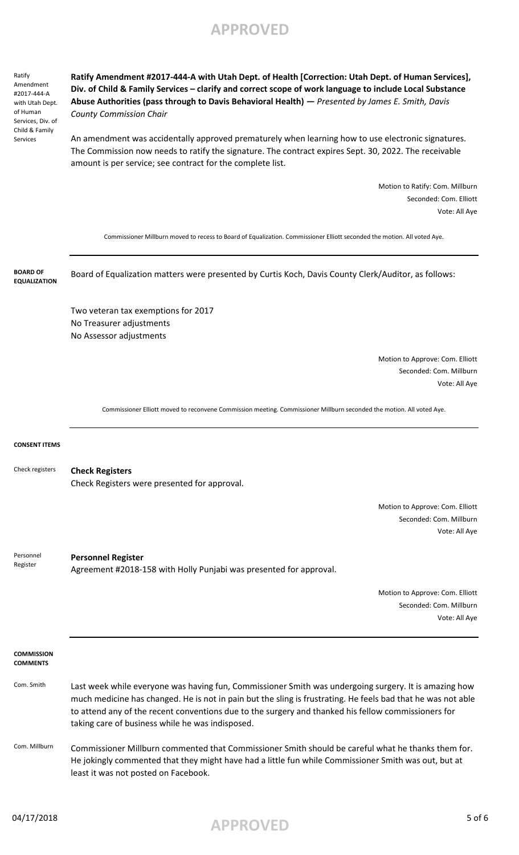Ratify Amendment #2017-444-A with Utah Dept. of Human Services, Div. of Child & Family Services

**Ratify Amendment #2017-444-A with Utah Dept. of Health [Correction: Utah Dept. of Human Services], Div. of Child & Family Services – clarify and correct scope of work language to include Local Substance Abuse Authorities (pass through to Davis Behavioral Health) —** *Presented by James E. Smith, Davis County Commission Chair*

An amendment was accidentally approved prematurely when learning how to use electronic signatures. The Commission now needs to ratify the signature. The contract expires Sept. 30, 2022. The receivable amount is per service; see contract for the complete list.

> Motion to Ratify: Com. Millburn Seconded: Com. Elliott Vote: All Aye

Commissioner Millburn moved to recess to Board of Equalization. Commissioner Elliott seconded the motion. All voted Aye.

Board of Equalization matters were presented by Curtis Koch, Davis County Clerk/Auditor, as follows: Two veteran tax exemptions for 2017 No Treasurer adjustments No Assessor adjustments Motion to Approve: Com. Elliott Seconded: Com. Millburn Vote: All Aye Commissioner Elliott moved to reconvene Commission meeting. Commissioner Millburn seconded the motion. All voted Aye. **CONSENT ITEMS Check Registers** Check Registers were presented for approval. Motion to Approve: Com. Elliott Seconded: Com. Millburn Vote: All Aye Check registers **BOARD OF EQUALIZATION**

**Personnel Register** Agreement #2018-158 with Holly Punjabi was presented for approval. Personnel Register

> Motion to Approve: Com. Elliott Seconded: Com. Millburn Vote: All Aye

**COMMISSION COMMENTS**

- Com. Smith Last week while everyone was having fun, Commissioner Smith was undergoing surgery. It is amazing how much medicine has changed. He is not in pain but the sling is frustrating. He feels bad that he was not able to attend any of the recent conventions due to the surgery and thanked his fellow commissioners for taking care of business while he was indisposed.
- Com. Millburn Commissioner Millburn commented that Commissioner Smith should be careful what he thanks them for. He jokingly commented that they might have had a little fun while Commissioner Smith was out, but at least it was not posted on Facebook.